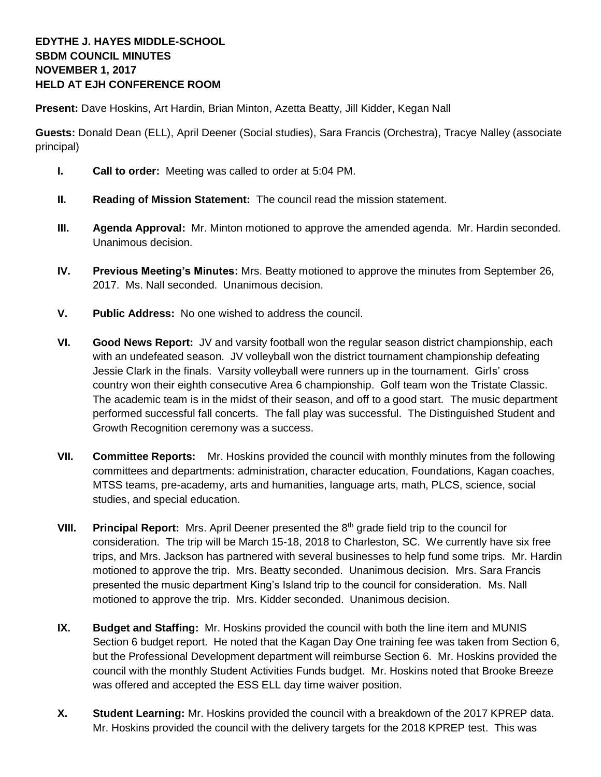## **EDYTHE J. HAYES MIDDLE-SCHOOL SBDM COUNCIL MINUTES NOVEMBER 1, 2017 HELD AT EJH CONFERENCE ROOM**

**Present:** Dave Hoskins, Art Hardin, Brian Minton, Azetta Beatty, Jill Kidder, Kegan Nall

**Guests:** Donald Dean (ELL), April Deener (Social studies), Sara Francis (Orchestra), Tracye Nalley (associate principal)

- **I. Call to order:** Meeting was called to order at 5:04 PM.
- **II. Reading of Mission Statement:** The council read the mission statement.
- **III. Agenda Approval:** Mr. Minton motioned to approve the amended agenda. Mr. Hardin seconded. Unanimous decision.
- **IV. Previous Meeting's Minutes:** Mrs. Beatty motioned to approve the minutes from September 26, 2017. Ms. Nall seconded. Unanimous decision.
- **V. Public Address:** No one wished to address the council.
- **VI. Good News Report:** JV and varsity football won the regular season district championship, each with an undefeated season. JV volleyball won the district tournament championship defeating Jessie Clark in the finals. Varsity volleyball were runners up in the tournament. Girls' cross country won their eighth consecutive Area 6 championship. Golf team won the Tristate Classic. The academic team is in the midst of their season, and off to a good start. The music department performed successful fall concerts. The fall play was successful. The Distinguished Student and Growth Recognition ceremony was a success.
- **VII. Committee Reports:** Mr. Hoskins provided the council with monthly minutes from the following committees and departments: administration, character education, Foundations, Kagan coaches, MTSS teams, pre-academy, arts and humanities, language arts, math, PLCS, science, social studies, and special education.
- **VIII.** Principal Report: Mrs. April Deener presented the 8<sup>th</sup> grade field trip to the council for consideration. The trip will be March 15-18, 2018 to Charleston, SC. We currently have six free trips, and Mrs. Jackson has partnered with several businesses to help fund some trips. Mr. Hardin motioned to approve the trip. Mrs. Beatty seconded. Unanimous decision. Mrs. Sara Francis presented the music department King's Island trip to the council for consideration. Ms. Nall motioned to approve the trip. Mrs. Kidder seconded. Unanimous decision.
- **IX. Budget and Staffing:** Mr. Hoskins provided the council with both the line item and MUNIS Section 6 budget report. He noted that the Kagan Day One training fee was taken from Section 6, but the Professional Development department will reimburse Section 6. Mr. Hoskins provided the council with the monthly Student Activities Funds budget. Mr. Hoskins noted that Brooke Breeze was offered and accepted the ESS ELL day time waiver position.
- **X. Student Learning:** Mr. Hoskins provided the council with a breakdown of the 2017 KPREP data. Mr. Hoskins provided the council with the delivery targets for the 2018 KPREP test. This was